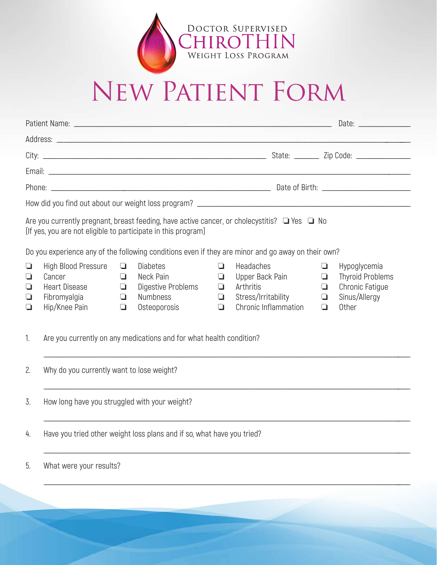

## New Patient Form

|                                                                                                                                                                         |                                                                                        | Date: _________________                        |                                                                                       |                                           |                                                                                                 |                                           |                                                                                      |  |  |
|-------------------------------------------------------------------------------------------------------------------------------------------------------------------------|----------------------------------------------------------------------------------------|------------------------------------------------|---------------------------------------------------------------------------------------|-------------------------------------------|-------------------------------------------------------------------------------------------------|-------------------------------------------|--------------------------------------------------------------------------------------|--|--|
|                                                                                                                                                                         |                                                                                        |                                                |                                                                                       |                                           |                                                                                                 |                                           |                                                                                      |  |  |
|                                                                                                                                                                         |                                                                                        |                                                |                                                                                       |                                           |                                                                                                 |                                           |                                                                                      |  |  |
|                                                                                                                                                                         |                                                                                        |                                                |                                                                                       |                                           |                                                                                                 |                                           |                                                                                      |  |  |
|                                                                                                                                                                         |                                                                                        |                                                |                                                                                       |                                           |                                                                                                 |                                           |                                                                                      |  |  |
|                                                                                                                                                                         |                                                                                        |                                                |                                                                                       |                                           |                                                                                                 |                                           |                                                                                      |  |  |
| Are you currently pregnant, breast feeding, have active cancer, or cholecystitis? $\Box$ Yes $\Box$ No<br>(If yes, you are not eligible to participate in this program) |                                                                                        |                                                |                                                                                       |                                           |                                                                                                 |                                           |                                                                                      |  |  |
| Do you experience any of the following conditions even if they are minor and go away on their own?                                                                      |                                                                                        |                                                |                                                                                       |                                           |                                                                                                 |                                           |                                                                                      |  |  |
| $\Box$<br>$\Box$<br>$\Box$<br>$\Box$<br>$\Box$                                                                                                                          | High Blood Pressure<br>Cancer<br><b>Heart Disease</b><br>Fibromyalgia<br>Hip/Knee Pain | $\Box$<br>$\Box$<br>$\Box$<br>$\Box$<br>$\Box$ | <b>Diabetes</b><br>Neck Pain<br>Digestive Problems<br><b>Numbness</b><br>Osteoporosis | ❏<br>$\Box$<br>$\Box$<br>$\Box$<br>$\Box$ | <b>Headaches</b><br>Upper Back Pain<br>Arthritis<br>Stress/Irritability<br>Chronic Inflammation | $\Box$<br>$\Box$<br>❏<br>$\Box$<br>$\Box$ | Hypoglycemia<br><b>Thyroid Problems</b><br>Chronic Fatigue<br>Sinus/Allergy<br>Other |  |  |
| 1.                                                                                                                                                                      | Are you currently on any medications and for what health condition?                    |                                                |                                                                                       |                                           |                                                                                                 |                                           |                                                                                      |  |  |
| 2.                                                                                                                                                                      | Why do you currently want to lose weight?                                              |                                                |                                                                                       |                                           |                                                                                                 |                                           |                                                                                      |  |  |
| 3.                                                                                                                                                                      | How long have you struggled with your weight?                                          |                                                |                                                                                       |                                           |                                                                                                 |                                           |                                                                                      |  |  |
| 4.                                                                                                                                                                      | Have you tried other weight loss plans and if so, what have you tried?                 |                                                |                                                                                       |                                           |                                                                                                 |                                           |                                                                                      |  |  |
| 5.                                                                                                                                                                      | What were your results?                                                                |                                                |                                                                                       |                                           |                                                                                                 |                                           |                                                                                      |  |  |
|                                                                                                                                                                         |                                                                                        |                                                |                                                                                       |                                           |                                                                                                 |                                           |                                                                                      |  |  |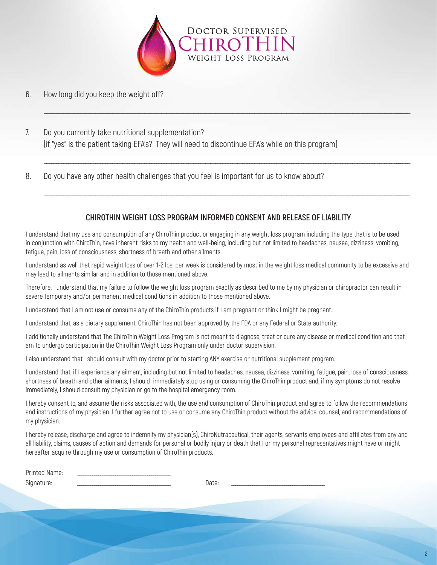

\_\_\_\_\_\_\_\_\_\_\_\_\_\_\_\_\_\_\_\_\_\_\_\_\_\_\_\_\_\_\_\_\_\_\_\_\_\_\_\_\_\_\_\_\_\_\_\_\_\_\_\_\_\_\_\_\_\_\_\_\_\_\_\_\_\_\_\_\_\_\_\_\_\_\_\_\_\_\_\_\_\_\_\_\_\_\_\_\_\_\_\_\_\_\_\_\_\_\_\_\_\_\_\_\_\_\_\_\_\_\_\_\_\_\_\_\_\_\_\_\_\_\_\_\_\_\_\_\_\_\_\_\_\_\_\_\_\_\_\_\_\_\_\_\_\_\_\_\_\_

\_\_\_\_\_\_\_\_\_\_\_\_\_\_\_\_\_\_\_\_\_\_\_\_\_\_\_\_\_\_\_\_\_\_\_\_\_\_\_\_\_\_\_\_\_\_\_\_\_\_\_\_\_\_\_\_\_\_\_\_\_\_\_\_\_\_\_\_\_\_\_\_\_\_\_\_\_\_\_\_\_\_\_\_\_\_\_\_\_\_\_\_\_\_\_\_\_\_\_\_\_\_\_\_\_\_\_\_\_\_\_\_\_\_\_\_\_\_\_\_\_\_\_\_\_\_\_\_\_\_\_\_\_\_\_\_\_\_\_\_\_\_\_\_\_\_\_\_\_\_

\_\_\_\_\_\_\_\_\_\_\_\_\_\_\_\_\_\_\_\_\_\_\_\_\_\_\_\_\_\_\_\_\_\_\_\_\_\_\_\_\_\_\_\_\_\_\_\_\_\_\_\_\_\_\_\_\_\_\_\_\_\_\_\_\_\_\_\_\_\_\_\_\_\_\_\_\_\_\_\_\_\_\_\_\_\_\_\_\_\_\_\_\_\_\_\_\_\_\_\_\_\_\_\_\_\_\_\_\_\_\_\_\_\_\_\_\_\_\_\_\_\_\_\_\_\_\_\_\_\_\_\_\_\_\_\_\_\_\_\_\_\_\_\_\_\_\_\_\_\_

- 6. How long did you keep the weight off?
- 7. Do you currently take nutritional supplementation? (if "yes" is the patient taking EFA's? They will need to discontinue EFA's while on this program)
- 8. Do you have any other health challenges that you feel is important for us to know about?

## **CHIROTHIN WEIGHT LOSS PROGRAM INFORMED CONSENT AND RELEASE OF LIABILITY**

I understand that my use and consumption of any ChiroThin product or engaging in any weight loss program including the type that is to be used in conjunction with ChiroThin, have inherent risks to my health and well-being, including but not limited to headaches, nausea, dizziness, vomiting, fatigue, pain, loss of consciousness, shortness of breath and other ailments.

I understand as well that rapid weight loss of over 1-2 lbs. per week is considered by most in the weight loss medical community to be excessive and may lead to ailments similar and in addition to those mentioned above.

Therefore, I understand that my failure to follow the weight loss program exactly as described to me by my physician or chiropractor can result in severe temporary and/or permanent medical conditions in addition to those mentioned above.

I understand that I am not use or consume any of the ChiroThin products if I am pregnant or think I might be pregnant.

I understand that, as a dietary supplement, ChiroThin has not been approved by the FDA or any Federal or State authority.

I additionally understand that The ChiroThin Weight Loss Program is not meant to diagnose, treat or cure any disease or medical condition and that I am to undergo participation in the ChiroThin Weight Loss Program only under doctor supervision.

I also understand that I should consult with my doctor prior to starting ANY exercise or nutritional supplement program.

I understand that, if I experience any ailment, including but not limited to headaches, nausea, dizziness, vomiting, fatigue, pain, loss of consciousness, shortness of breath and other ailments, I should immediately stop using or consuming the ChiroThin product and, if my symptoms do not resolve immediately, I should consult my physician or go to the hospital emergency room.

I hereby consent to, and assume the risks associated with, the use and consumption of ChiroThin product and agree to follow the recommendations and instructions of my physician. I further agree not to use or consume any ChiroThin product without the advice, counsel, and recommendations of my physician.

I hereby release, discharge and agree to indemnify my physician(s), ChiroNutraceutical, their agents, servants employees and affiliates from any and all liability, claims, causes of action and demands for personal or bodily injury or death that I or my personal representatives might have or might hereafter acquire through my use or consumption of ChiroThin products.

| -<br>$1 - 1$<br>™⊱<br>$\overline{\phantom{a}}$<br><br>$\sim$ |      |  |
|--------------------------------------------------------------|------|--|
| $\sim$<br>$\alpha$<br>◡                                      | nare |  |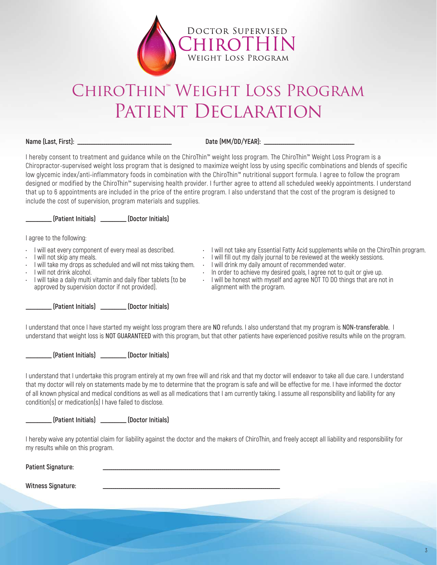

## ChiroThin™ Weight Loss Program PATIENT DECLARATION

**Name (Last, First): \_\_\_\_\_\_\_\_\_\_\_\_\_\_\_\_\_\_\_\_\_\_\_\_\_\_\_\_\_\_\_\_\_\_\_\_\_\_\_\_\_\_\_\_\_\_\_\_\_ Date (MM/DD/YEAR): \_\_\_\_\_\_\_\_\_\_\_\_\_\_\_\_\_\_\_\_\_\_\_\_\_\_\_\_\_\_\_\_\_\_\_\_\_\_\_\_\_\_\_\_\_\_\_**

I hereby consent to treatment and guidance while on the ChiroThin™ weight loss program. The ChiroThin™ Weight Loss Program is a Chiropractor-supervised weight loss program that is designed to maximize weight loss by using specific combinations and blends of specific low glycemic index/anti-inflammatory foods in combination with the ChiroThin™ nutritional support formula. I agree to follow the program designed or modified by the ChiroThin™ supervising health provider. I further agree to attend all scheduled weekly appointments. I understand that up to 6 appointments are included in the price of the entire program. I also understand that the cost of the program is designed to include the cost of supervision, program materials and supplies.

**\_\_\_\_\_\_\_\_\_\_\_ (Patient Initials) \_\_\_\_\_\_\_\_\_\_\_ (Doctor Initials)**

I agree to the following:

- I will eat every component of every meal as described.
- I will not skip any meals.
- I will take my drops as scheduled and will not miss taking them. I will drink my daily amount of recommended water.
- I will not drink alcohol.
- I will take a daily multi vitamin and daily fiber tablets (to be approved by supervision doctor if not provided).
- I will not take any Essential Fatty Acid supplements while on the ChiroThin program.
- I will fill out my daily journal to be reviewed at the weekly sessions.
- 
- In order to achieve my desired goals, I agree not to quit or give up.
- I will be honest with myself and agree NOT TO DO things that are not in alignment with the program.

**\_\_\_\_\_\_\_\_\_\_\_ (Patient Initials) \_\_\_\_\_\_\_\_\_\_\_ (Doctor Initials)**

I understand that once I have started my weight loss program there are **NO** refunds. I also understand that my program is **NON-transferable.** I understand that weight loss is **NOT GUARANTEED** with this program, but that other patients have experienced positive results while on the program.

**\_\_\_\_\_\_\_\_\_\_\_ (Patient Initials) \_\_\_\_\_\_\_\_\_\_\_ (Doctor Initials)**

I understand that I undertake this program entirely at my own free will and risk and that my doctor will endeavor to take all due care. I understand that my doctor will rely on statements made by me to determine that the program is safe and will be effective for me. I have informed the doctor of all known physical and medical conditions as well as all medications that I am currently taking. I assume all responsibility and liability for any condition(s) or medication(s) I have failed to disclose.

**\_\_\_\_\_\_\_\_\_\_\_ (Patient Initials) \_\_\_\_\_\_\_\_\_\_\_ (Doctor Initials)**

I hereby waive any potential claim for liability against the doctor and the makers of ChiroThin, and freely accept all liability and responsibility for my results while on this program.

Patient Signature:

Witness Signature: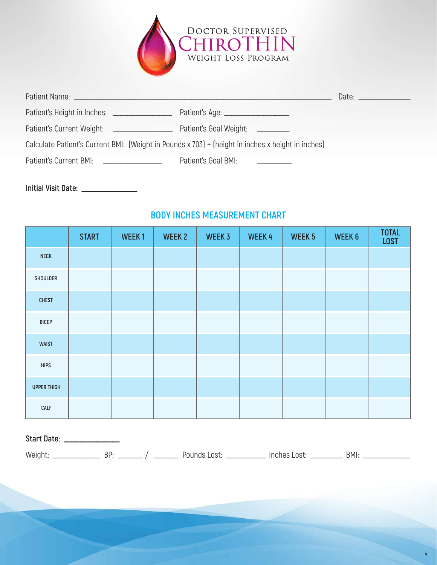

| Patient Name: __________                                                                          |                                   | Date: Date |  |  |  |  |
|---------------------------------------------------------------------------------------------------|-----------------------------------|------------|--|--|--|--|
| Patient's Height in Inches: _______________                                                       |                                   |            |  |  |  |  |
| Patient's Current Weight:<br>the control of the control of                                        | Patient's Goal Weight: __________ |            |  |  |  |  |
| Calculate Patient's Current BMI: (Weight in Pounds x 703) ÷ (height in inches x height in inches) |                                   |            |  |  |  |  |
| Patient's Current BMI:                                                                            | Patient's Goal BMI:               |            |  |  |  |  |

**Initial Visit Date: \_\_\_\_\_\_\_\_\_\_\_\_\_\_\_\_\_\_\_\_\_\_\_\_**

## **BODY INCHES MEASUREMENT CHART**

|                    | <b>START</b> | WEEK1 | WEEK 2 | WEEK 3 | WEEK4 | WEEK <sub>5</sub> | WEEK 6 | <b>TOTAL</b><br><b>LOST</b> |
|--------------------|--------------|-------|--------|--------|-------|-------------------|--------|-----------------------------|
| <b>NECK</b>        |              |       |        |        |       |                   |        |                             |
| SHOULDER           |              |       |        |        |       |                   |        |                             |
| <b>CHEST</b>       |              |       |        |        |       |                   |        |                             |
| <b>BICEP</b>       |              |       |        |        |       |                   |        |                             |
| <b>WAIST</b>       |              |       |        |        |       |                   |        |                             |
| <b>HIPS</b>        |              |       |        |        |       |                   |        |                             |
| <b>UPPER THIGH</b> |              |       |        |        |       |                   |        |                             |
| <b>CALF</b>        |              |       |        |        |       |                   |        |                             |

**Start Date: \_\_\_\_\_\_\_\_\_\_\_\_\_\_\_\_\_\_\_\_\_\_\_\_**

Weight: \_\_\_\_\_\_\_\_\_\_\_\_\_\_\_\_\_\_\_ BP: \_\_\_\_\_\_\_\_\_\_ / \_\_\_\_\_\_\_\_\_\_ Pounds Lost: \_\_\_\_\_\_\_\_\_\_\_\_\_\_\_\_ Inches Lost: \_\_\_\_\_\_\_\_\_\_\_\_\_ BMI: \_\_\_\_\_\_\_\_\_\_\_\_\_\_\_\_\_\_\_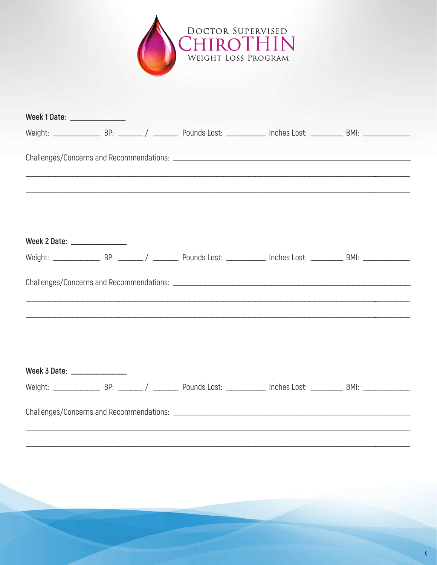

| Week 1 Date: _________________                                                   |  |  |  |  |  |  |  |  |  |
|----------------------------------------------------------------------------------|--|--|--|--|--|--|--|--|--|
|                                                                                  |  |  |  |  |  |  |  |  |  |
|                                                                                  |  |  |  |  |  |  |  |  |  |
| Week 2 Date: ________________                                                    |  |  |  |  |  |  |  |  |  |
|                                                                                  |  |  |  |  |  |  |  |  |  |
| ,我们就不能在这里的,我们就不能在这里的时候,我们就不能在这里的时候,我们就不能在这里的时候,我们就不能在这里的时候,我们就不能在这里的时候,我们就不能在这里的 |  |  |  |  |  |  |  |  |  |
| Week 3 Date: ________________                                                    |  |  |  |  |  |  |  |  |  |
|                                                                                  |  |  |  |  |  |  |  |  |  |